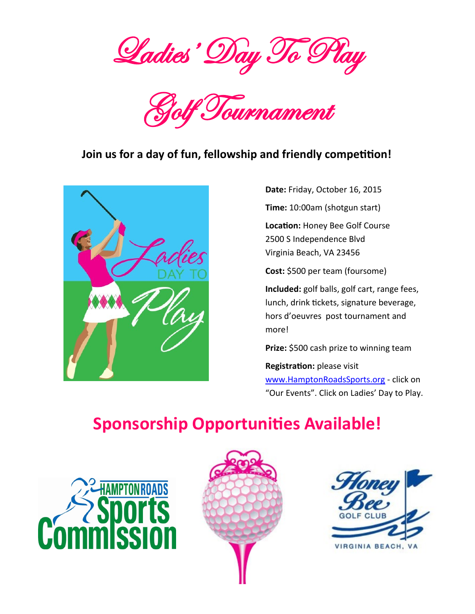Ladies' Day To Play



## **Join us for a day of fun, fellowship and friendly competition!**



**Date:** Friday, October 16, 2015

**Time:** 10:00am (shotgun start)

**Location:** Honey Bee Golf Course 2500 S Independence Blvd Virginia Beach, VA 23456

**Cost:** \$500 per team (foursome)

**Included:** golf balls, golf cart, range fees, lunch, drink tickets, signature beverage, hors d'oeuvres post tournament and more!

**Prize:** \$500 cash prize to winning team

**Registration:** please visit [www.HamptonRoadsSports.org](http://www.HamptonRoadsSports.org) - click on "Our Events". Click on Ladies' Day to Play.

# **Sponsorship Opportunities Available!**





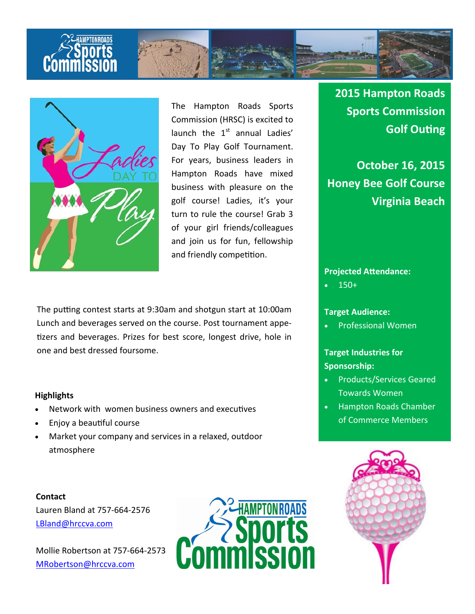



The Hampton Roads Sports Commission (HRSC) is excited to launch the  $1<sup>st</sup>$  annual Ladies' Day To Play Golf Tournament. For years, business leaders in Hampton Roads have mixed business with pleasure on the golf course! Ladies, it's your turn to rule the course! Grab 3 of your girl friends/colleagues and join us for fun, fellowship and friendly competition.

The putting contest starts at 9:30am and shotgun start at 10:00am Lunch and beverages served on the course. Post tournament appetizers and beverages. Prizes for best score, longest drive, hole in one and best dressed foursome.

#### **Highlights**

- Network with women business owners and executives
- Enjoy a beautiful course
- Market your company and services in a relaxed, outdoor atmosphere

**Contact** Lauren Bland at 757-664-2576 [LBland@hrccva.com](mailto:LBland@hrccva.com)

Mollie Robertson at 757-664-2573 [MRobertson@hrccva.com](mailto:MRobertson@hrccva.com)



## **2015 Hampton Roads Sports Commission Golf Outing**

**October 16, 2015 Honey Bee Golf Course Virginia Beach**

#### **Projected Attendance:**

150+

### **Target Audience:**

Professional Women

## **Target Industries for Sponsorship:**

- Products/Services Geared Towards Women
- Hampton Roads Chamber of Commerce Members

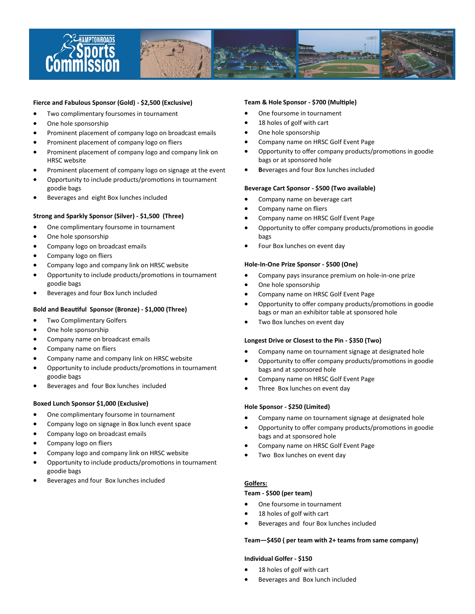

#### **Fierce and Fabulous Sponsor (Gold) - \$2,500 (Exclusive)**

- Two complimentary foursomes in tournament
- One hole sponsorship
- Prominent placement of company logo on broadcast emails
- Prominent placement of company logo on fliers
- Prominent placement of company logo and company link on HRSC website
- Prominent placement of company logo on signage at the event
- Opportunity to include products/promotions in tournament goodie bags
- Beverages and eight Box lunches included

#### **Strong and Sparkly Sponsor (Silver) - \$1,500 (Three)**

- One complimentary foursome in tournament
- One hole sponsorship
- Company logo on broadcast emails
- Company logo on fliers
- Company logo and company link on HRSC website
- Opportunity to include products/promotions in tournament goodie bags
- Beverages and four Box lunch included

#### **Bold and Beautiful Sponsor (Bronze) - \$1,000 (Three)**

- **•** Two Complimentary Golfers
- One hole sponsorship
- Company name on broadcast emails
- Company name on fliers
- Company name and company link on HRSC website
- Opportunity to include products/promotions in tournament goodie bags
- Beverages and four Box lunches included

#### **Boxed Lunch Sponsor \$1,000 (Exclusive)**

- One complimentary foursome in tournament
- Company logo on signage in Box lunch event space
- Company logo on broadcast emails
- Company logo on fliers
- Company logo and company link on HRSC website
- Opportunity to include products/promotions in tournament goodie bags
- Beverages and four Box lunches included

#### **Team & Hole Sponsor - \$700 (Multiple)**

- One foursome in tournament
- 18 holes of golf with cart
- One hole sponsorship
- Company name on HRSC Golf Event Page
- Opportunity to offer company products/promotions in goodie bags or at sponsored hole
- **B**everages and four Box lunches included

#### **Beverage Cart Sponsor - \$500 (Two available)**

- Company name on beverage cart
- Company name on fliers
- Company name on HRSC Golf Event Page
- Opportunity to offer company products/promotions in goodie bags
- Four Box lunches on event day

#### **Hole-In-One Prize Sponsor - \$500 (One)**

- Company pays insurance premium on hole-in-one prize
- One hole sponsorship
- Company name on HRSC Golf Event Page
- Opportunity to offer company products/promotions in goodie bags or man an exhibitor table at sponsored hole
- Two Box lunches on event day

#### **Longest Drive or Closest to the Pin - \$350 (Two)**

- Company name on tournament signage at designated hole
- Opportunity to offer company products/promotions in goodie bags and at sponsored hole
- Company name on HRSC Golf Event Page
- Three Box lunches on event day

#### **Hole Sponsor - \$250 (Limited)**

- Company name on tournament signage at designated hole
- Opportunity to offer company products/promotions in goodie bags and at sponsored hole
- Company name on HRSC Golf Event Page
- Two Box lunches on event day

#### **Golfers:**

#### **Team - \$500 (per team)**

- One foursome in tournament
- 18 holes of golf with cart
- Beverages and four Box lunches included

#### **Team—\$450 ( per team with 2+ teams from same company)**

#### **Individual Golfer - \$150**

- 18 holes of golf with cart
- Beverages and Box lunch included